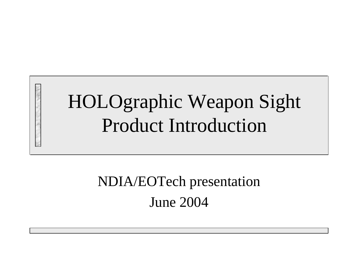# HOLOgraphic Weapon Sight Product Introduction

#### NDIA/EOTech presentation June 2004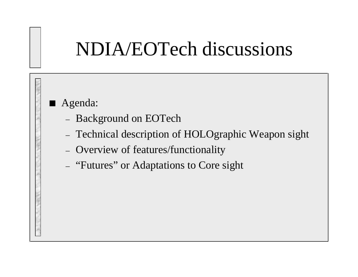# NDIA/EOTech discussions

- Agenda:
	- –Background on EOTech
	- –Technical description of HOLOgraphic Weapon sight
	- –Overview of features/functionality
	- –– "Futures" or Adaptations to Core sight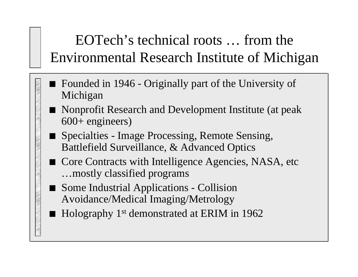#### EOTech's technical roots … from theEnvironmental Research Institute of Michigan

- Founded in 1946 Originally part of the University of Michigan
- Nonprofit Research and Development Institute (at peak 600+ engineers)
- Specialties Image Processing, Remote Sensing, Battlefield Surveillance, & Advanced Optics
- Core Contracts with Intelligence Agencies, NASA, etc …mostly classified programs
- $\blacksquare$  Some Industrial Applications - Collision Avoidance/Medical Imaging/Metrology
- $\blacksquare$  Holography 1<sup>st</sup> demonstrated at ERIM in 1962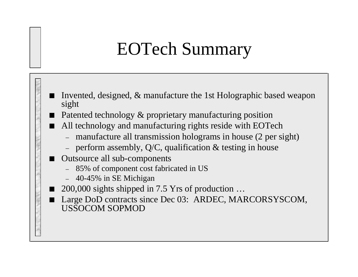### EOTech Summary

- Invented, designed, & manufacture the 1st Holographic based weapon sight
- **•** Patented technology  $\&$  proprietary manufacturing position
- **All technology and manufacturing rights reside with EOTech** 
	- –manufacture all transmission holograms in house (2 per sight)
	- perform assembly, Q/C, qualification  $\&$  testing in house
	- Outsource all sub-components
		- 85% of component cost fabricated in US
		- 40-45% in SE Michigan
- 200,000 sights shipped in 7.5 Yrs of production ...
- Large DoD contracts since Dec 03: ARDEC, MARCORSYSCOM, USSOCOM SOPMOD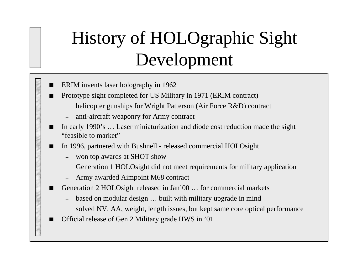# History of HOLOgraphic Sight Development

- ERIM invents laser holography in 1962
- Prototype sight completed for US Military in 1971 (ERIM contract)
	- helicopter gunships for Wright Patterson (Air Force R&D) contract
	- anti-aircraft weaponry for Army contract
- п. In early 1990's … Laser miniaturization and diode cost reduction made the sight "feasible to market"
	- In 1996, partnered with Bushnell released commercial HOLOsight
		- won top awards at SHOT show
		- Generation 1 HOLOsight did not meet requirements for military application
		- –Army awarded Aimpoint M68 contract
- . Generation 2 HOLOsight released in Jan'00 … for commercial markets
	- –based on modular design … built with military upgrade in mind
	- solved NV, AA, weight, length issues, but kept same core optical performance
- Official release of Gen 2 Military grade HWS in '01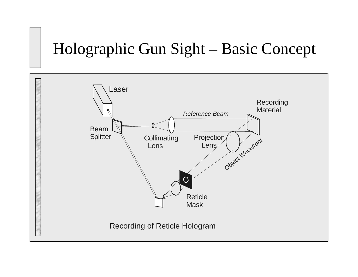#### Holographic Gun Sight – Basic Concept

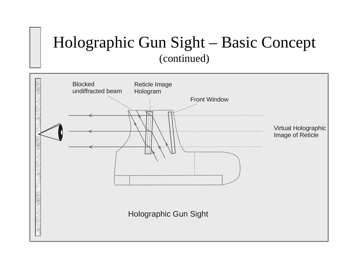#### Holographic Gun Sight – Basic Concept (continued)

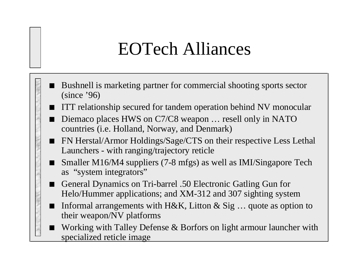### EOTech Alliances

- Bushnell is marketing partner for commercial shooting sports sector (since '96)
- ITT relationship secured for tandem operation behind NV monocular
- Diemaco places HWS on C7/C8 weapon ... resell only in NATO countries (i.e. Holland, Norway, and Denmark)
- FN Herstal/Armor Holdings/Sage/CTS on their respective Less Lethal Launchers - with ranging/trajectory reticle
- Smaller M16/M4 suppliers (7-8 mfgs) as well as IMI/Singapore Tech as "system integrators"
- General Dynamics on Tri-barrel .50 Electronic Gatling Gun for Helo/Hummer applications; and XM-312 and 307 sighting system
- **I** Informal arrangements with H&K, Litton & Sig ... quote as option to their weapon/NV platforms
- $\blacksquare$  Working with Talley Defense & Borfors on light armour launcher with specialized reticle image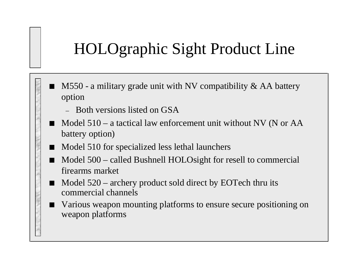#### HOLOgraphic Sight Product Line

- $\blacksquare$ M550 - a military grade unit with NV compatibility  $\&$  AA battery option
	- Both versions listed on GSA
- Model 510 a tactical law enforcement unit without NV (N or AA battery option)
- Model 510 for specialized less lethal launchers
- Model 500 called Bushnell HOLOsight for resell to commercial firearms market
- Model 520 archery product sold direct by EOTech thru its commercial channels
- Various weapon mounting platforms to ensure secure positioning on weapon platforms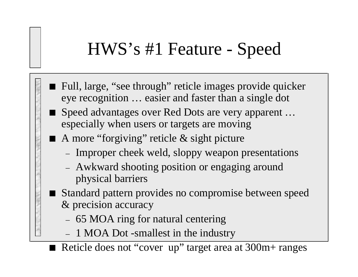### HWS's #1 Feature - Speed

- Full, large, "see through" reticle images provide quicker eye recognition … easier and faster than a single dot
- Speed advantages over Red Dots are very apparent ... especially when users or targets are moving
- $\blacksquare$  A more "forgiving" reticle & sight picture
	- –- Improper cheek weld, sloppy weapon presentations
	- – Awkward shooting position or engaging around physical barriers
- **Standard pattern provides no compromise between speed** & precision accuracy
	- –– 65 MOA ring for natural centering
	- –– 1 MOA Dot -smallest in the industry
	- Reticle does not "cover up" target area at 300m+ ranges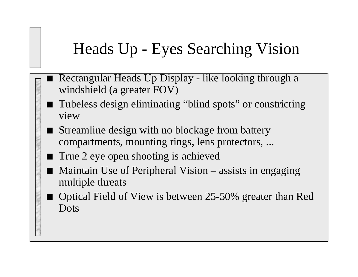#### Heads Up - Eyes Searching Vision

- Rectangular Heads Up Display like looking through a windshield (a greater FOV)
- Tubeless design eliminating "blind spots" or constricting view
- Streamline design with no blockage from battery compartments, mounting rings, lens protectors, ...
- $\blacksquare$  True 2 eye open shooting is achieved
- Maintain Use of Peripheral Vision assists in engaging multiple threats
- Optical Field of View is between 25-50% greater than Red Dots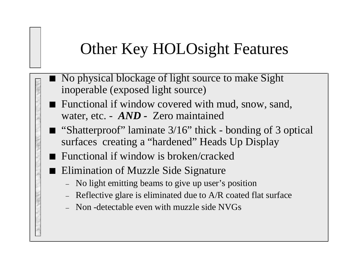#### Other Key HOLOsight Features

- No physical blockage of light source to make Sight inoperable (exposed light source)
- Functional if window covered with mud, snow, sand, water, etc. - *AND -* Zero maintained
- "Shatterproof" laminate 3/16" thick bonding of 3 optical surfaces creating a "hardened" Heads Up Display
- Functional if window is broken/cracked
- Elimination of Muzzle Side Signature
	- No light emitting beams to give up user's position
	- $-$  Reflective glare is eliminated due to A/R coated flat surface
	- Non -detectable even with muzzle side NVGs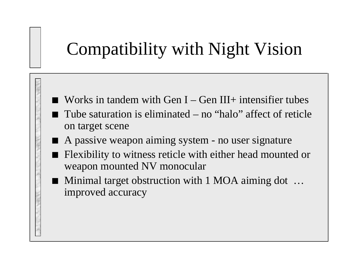### Compatibility with Night Vision

- Works in tandem with Gen  $I Gen III +$  intensifier tubes
- Tube saturation is eliminated no "halo" affect of reticle on target scene
- A passive weapon aiming system no user signature
- Flexibility to witness reticle with either head mounted or weapon mounted NV monocular
- Minimal target obstruction with 1 MOA aiming dot … improved accuracy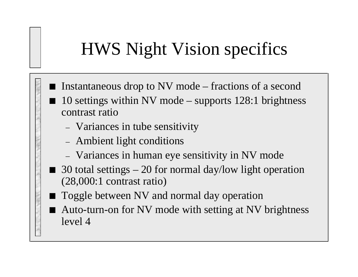### HWS Night Vision specifics

- **I** Instantaneous drop to NV mode fractions of a second
- 10 settings within NV mode supports 128:1 brightness contrast ratio
	- Variances in tube sensitivity
	- Ambient light conditions
	- –Variances in human eye sensitivity in NV mode
- 30 total settings 20 for normal day/low light operation (28,000:1 contrast ratio)
- Toggle between NV and normal day operation
- Auto-turn-on for NV mode with setting at NV brightness level 4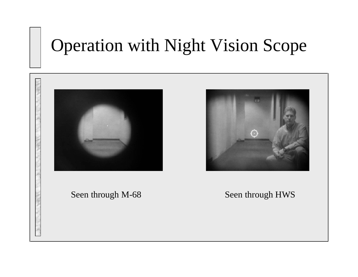### Operation with Night Vision Scope





Seen through M-68 Seen through HWS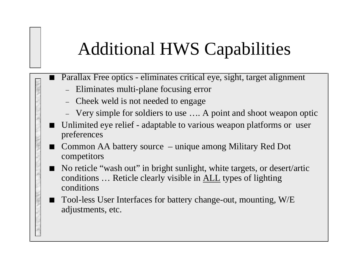# Additional HWS Capabilities

- Parallax Free optics eliminates critical eye, sight, target alignment
	- Eliminates multi-plane focusing error
	- Cheek weld is not needed to engage
	- Very simple for soldiers to use …. A point and shoot weapon optic
- Unlimited eye relief adaptable to various weapon platforms or user preferences
- Common AA battery source unique among Military Red Dot competitors
- **The Co**  No reticle "wash out" in bright sunlight, white targets, or desert/artic conditions … Reticle clearly visible in ALL types of lighting conditions
- $\blacksquare$  Tool-less User Interfaces for battery change-out, mounting, W/E adjustments, etc.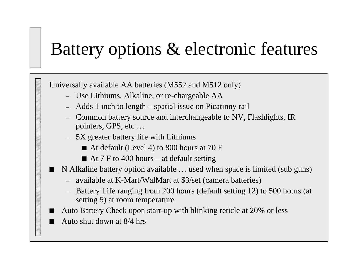### Battery options & electronic features

Universally available AA batteries (M552 and M512 only) – Use Lithiums, Alkaline, or re-chargeable AA Adds 1 inch to length – spatial issue on Picatinny rail Common battery source and interchangeable to NV, Flashlights, IR pointers, GPS, etc … 5X greater battery life with Lithiums At default (Level 4) to 800 hours at 70 F ■ At 7 F to 400 hours – at default setting  $\blacksquare$  N Alkaline battery option available … used when space is limited (sub guns) available at K-Mart/WalMart at \$3/set (camera batteries) Battery Life ranging from 200 hours (default setting 12) to 500 hours (at setting 5) at room temperature Auto Battery Check upon start-up with blinking reticle at 20% or less Auto shut down at 8/4 hrs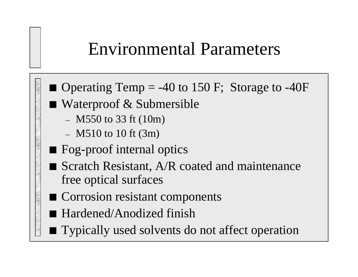#### Environmental Parameters

- Operating Temp = -40 to 150 F; Storage to -40F
- Waterproof & Submersible
	- M550 to 33 ft (10m)
	- M510 to 10 ft (3m)
- Fog-proof internal optics
- Scratch Resistant, A/R coated and maintenance free optical surfaces
- Corrosion resistant components
- Hardened/Anodized finish
- **Typically used solvents do not affect operation**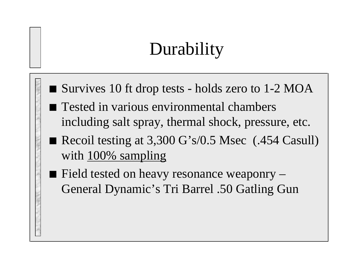### **Durability**

- Survives 10 ft drop tests holds zero to 1-2 MOA
- Tested in various environmental chambers including salt spray, thermal shock, pressure, etc.
- Recoil testing at 3,300 G's/0.5 Msec (.454 Casull) with 100% sampling
- Field tested on heavy resonance weaponry General Dynamic's Tri Barrel .50 Gatling Gun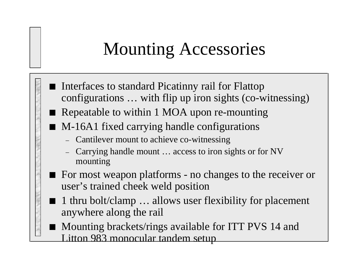### Mounting Accessories

- Interfaces to standard Picatinny rail for Flattop configurations … with flip up iron sights (co-witnessing)
- Repeatable to within 1 MOA upon re-mounting
- M-16A1 fixed carrying handle configurations
	- –Cantilever mount to achieve co-witnessing
	- – Carrying handle mount … access to iron sights or for NV mounting
- **For most weapon platforms no changes to the receiver or** user's trained cheek weld position
- 1 thru bolt/clamp ... allows user flexibility for placement anywhere along the rail
- Mounting brackets/rings available for ITT PVS 14 and Litton 983 monocular tandem setup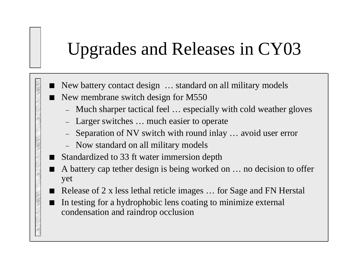### Upgrades and Releases in CY03

- New battery contact design ... standard on all military models
- New membrane switch design for M550
	- Much sharper tactical feel … especially with cold weather gloves
	- Larger switches … much easier to operate
	- –Separation of NV switch with round inlay … avoid user error
	- –Now standard on all military models
- **TELEVISION**  Standardized to 33 ft water immersion depth
	- A battery cap tether design is being worked on … no decision to offer yet
- Release of 2 x less lethal reticle images … for Sage and FN Herstal
- $\blacksquare$  In testing for a hydrophobic lens coating to minimize external condensation and raindrop occlusion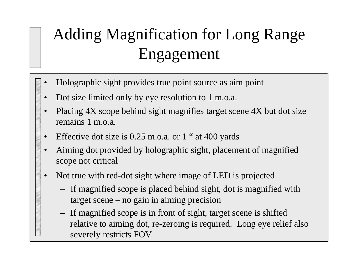### Adding Magnification for Long Range Engagement

- •Holographic sight provides true point source as aim point
- •Dot size limited only by eye resolution to 1 m.o.a.
- • Placing 4X scope behind sight magnifies target scene 4X but dot size remains 1 m.o.a.
- •Effective dot size is 0.25 m.o.a. or 1 " at 400 yards
- • Aiming dot provided by holographic sight, placement of magnified scope not critical
- • Not true with red-dot sight where image of LED is projected
	- If magnified scope is placed behind sight, dot is magnified with target scene – no gain in aiming precision
	- If magnified scope is in front of sight, target scene is shifted relative to aiming dot, re-zeroing is required. Long eye relief also severely restricts FOV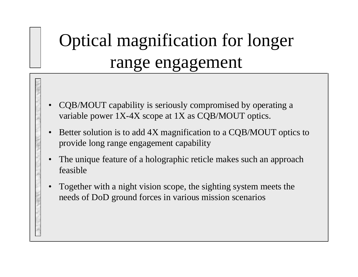# Optical magnification for longer range engagement

- • CQB/MOUT capability is seriously compromised by operating a variable power 1X-4X scope at 1X as CQB/MOUT optics.
- • Better solution is to add 4X magnification to a CQB/MOUT optics to provide long range engagement capability
- • The unique feature of a holographic reticle makes such an approach feasible
- • Together with a night vision scope, the sighting system meets the needs of DoD ground forces in various mission scenarios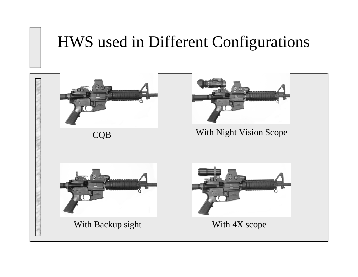#### HWS used in Different Configurations